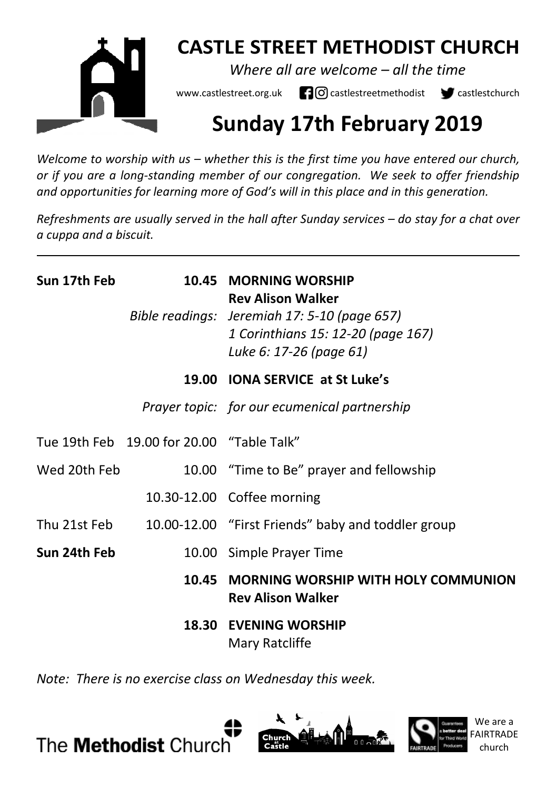

## **CASTLE STREET METHODIST CHURCH**

*Where all are welcome – all the time* 

www.castlestreet.org.uk  $\Box$  O castlestreetmethodist  $\Box$  castlestchurch

# **Sunday 17th February 2019**

*Welcome to worship with us – whether this is the first time you have entered our church, or if you are a long-standing member of our congregation. We seek to offer friendship and opportunities for learning more of God's will in this place and in this generation.* 

*Refreshments are usually served in the hall after Sunday services – do stay for a chat over a cuppa and a biscuit.*

| Sun 17th Feb | 10.45                                     | <b>MORNING WORSHIP</b><br><b>Rev Alison Walker</b><br>Bible readings: Jeremiah 17: 5-10 (page 657)<br>1 Corinthians 15: 12-20 (page 167)<br>Luke 6: 17-26 (page 61) |
|--------------|-------------------------------------------|---------------------------------------------------------------------------------------------------------------------------------------------------------------------|
|              |                                           | 19.00 IONA SERVICE at St Luke's                                                                                                                                     |
|              |                                           | Prayer topic: for our ecumenical partnership                                                                                                                        |
|              | Tue 19th Feb 19.00 for 20.00 "Table Talk" |                                                                                                                                                                     |
| Wed 20th Feb |                                           | 10.00 "Time to Be" prayer and fellowship                                                                                                                            |
|              |                                           | 10.30-12.00 Coffee morning                                                                                                                                          |
| Thu 21st Feb |                                           | 10.00-12.00 "First Friends" baby and toddler group                                                                                                                  |
| Sun 24th Feb |                                           | 10.00 Simple Prayer Time                                                                                                                                            |
|              |                                           | 10.45 MORNING WORSHIP WITH HOLY COMMUNION<br><b>Rev Alison Walker</b>                                                                                               |
|              | 18.30                                     | <b>EVENING WORSHIP</b><br>Mary Ratcliffe                                                                                                                            |

*Note: There is no exercise class on Wednesday this week.* 





We are a FAIRTRADE church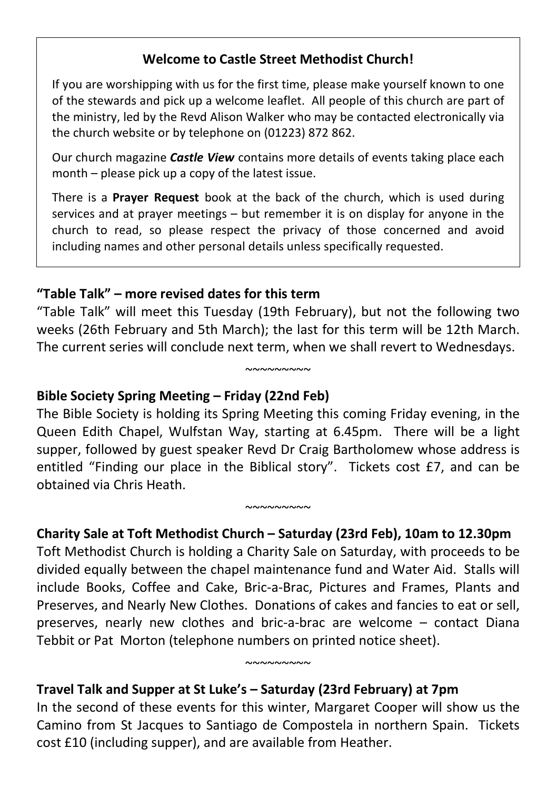## **Welcome to Castle Street Methodist Church!**

If you are worshipping with us for the first time, please make yourself known to one of the stewards and pick up a welcome leaflet. All people of this church are part of the ministry, led by the Revd Alison Walker who may be contacted electronically via the church website or by telephone on (01223) 872 862.

Our church magazine *Castle View* contains more details of events taking place each month – please pick up a copy of the latest issue.

There is a **Prayer Request** book at the back of the church, which is used during services and at prayer meetings – but remember it is on display for anyone in the church to read, so please respect the privacy of those concerned and avoid including names and other personal details unless specifically requested.

#### **"Table Talk" – more revised dates for this term**

"Table Talk" will meet this Tuesday (19th February), but not the following two weeks (26th February and 5th March); the last for this term will be 12th March. The current series will conclude next term, when we shall revert to Wednesdays.

 $~\sim$ ~~~~~~~

## **Bible Society Spring Meeting – Friday (22nd Feb)**

The Bible Society is holding its Spring Meeting this coming Friday evening, in the Queen Edith Chapel, Wulfstan Way, starting at 6.45pm. There will be a light supper, followed by guest speaker Revd Dr Craig Bartholomew whose address is entitled "Finding our place in the Biblical story". Tickets cost £7, and can be obtained via Chris Heath.

## **Charity Sale at Toft Methodist Church – Saturday (23rd Feb), 10am to 12.30pm**

~~~~~~~~~

Toft Methodist Church is holding a Charity Sale on Saturday, with proceeds to be divided equally between the chapel maintenance fund and Water Aid. Stalls will include Books, Coffee and Cake, Bric-a-Brac, Pictures and Frames, Plants and Preserves, and Nearly New Clothes. Donations of cakes and fancies to eat or sell, preserves, nearly new clothes and bric-a-brac are welcome – contact Diana Tebbit or Pat Morton (telephone numbers on printed notice sheet).

## **Travel Talk and Supper at St Luke's – Saturday (23rd February) at 7pm**

In the second of these events for this winter, Margaret Cooper will show us the Camino from St Jacques to Santiago de Compostela in northern Spain. Tickets cost £10 (including supper), and are available from Heather.

 $~\sim$ ~~~~~~~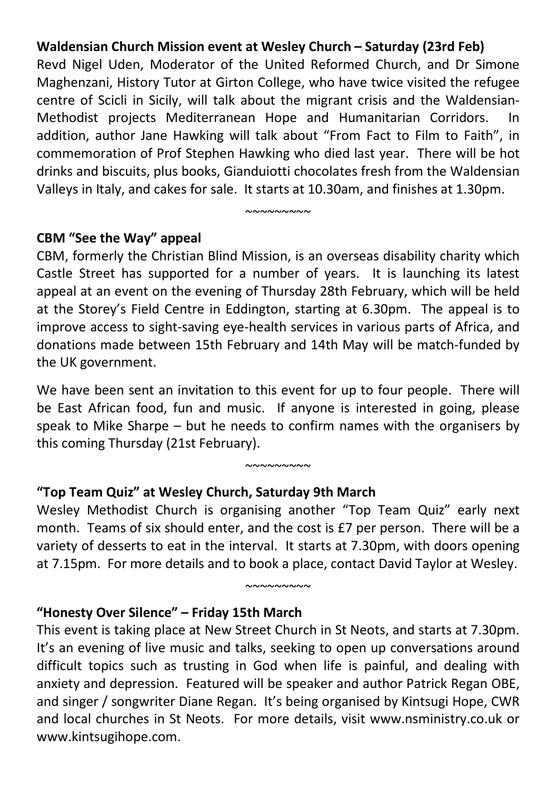#### **Waldensian Church Mission event at Wesley Church – Saturday (23rd Feb)**

Revd Nigel Uden, Moderator of the United Reformed Church, and Dr Simone Maghenzani, History Tutor at Girton College, who have twice visited the refugee centre of Scicli in Sicily, will talk about the migrant crisis and the Waldensian-Methodist projects Mediterranean Hope and Humanitarian Corridors. addition, author Jane Hawking will talk about "From Fact to Film to Faith", in commemoration of Prof Stephen Hawking who died last year. There will be hot drinks and biscuits, plus books, Gianduiotti chocolates fresh from the Waldensian Valleys in Italy, and cakes for sale. It starts at 10.30am, and finishes at 1.30pm.

 $~\sim\sim\sim\sim\sim\sim\sim\sim$ 

#### **CBM "See the Way" appeal**

CBM, formerly the Christian Blind Mission, is an overseas disability charity which Castle Street has supported for a number of years. It is launching its latest appeal at an event on the evening of Thursday 28th February, which will be held at the Storey's Field Centre in Eddington, starting at 6.30pm. The appeal is to improve access to sight-saving eye-health services in various parts of Africa, and donations made between 15th February and 14th May will be match-funded by the UK government.

We have been sent an invitation to this event for up to four people. There will be East African food, fun and music. If anyone is interested in going, please speak to Mike Sharpe – but he needs to confirm names with the organisers by this coming Thursday (21st February).

 $~\sim$  $\sim$  $\sim$  $\sim$  $\sim$  $\sim$  $\sim$ 

## **"Top Team Quiz" at Wesley Church, Saturday 9th March**

Wesley Methodist Church is organising another "Top Team Quiz" early next month. Teams of six should enter, and the cost is £7 per person. There will be a variety of desserts to eat in the interval. It starts at 7.30pm, with doors opening at 7.15pm. For more details and to book a place, contact David Taylor at Wesley.

 $~\sim$  $\sim$  $\sim$  $\sim$  $\sim$  $\sim$  $\sim$ 

#### **"Honesty Over Silence" – Friday 15th March**

This event is taking place at New Street Church in St Neots, and starts at 7.30pm. It's an evening of live music and talks, seeking to open up conversations around difficult topics such as trusting in God when life is painful, and dealing with anxiety and depression. Featured will be speaker and author Patrick Regan OBE, and singer / songwriter Diane Regan. It's being organised by Kintsugi Hope, CWR and local churches in St Neots. For more details, visit www.nsministry.co.uk or www.kintsugihope.com.